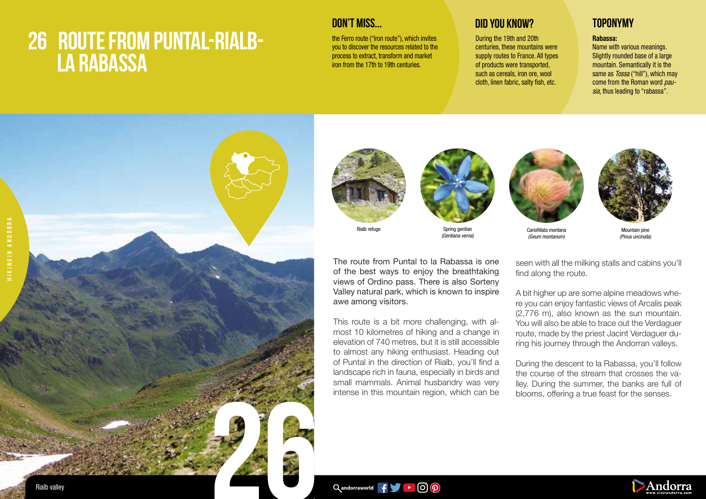## **26 ROUTE FROM PUNTAL-RIALB- LA RABASSA**

the Ferro route ("Iron route"), which invites you to discover the resources related to the process to extract, transform and market iron from the 17th to 19th centuries.

## **DON'T MISS... DID YOU KNOW? TOPONYMY**

During the 19th and 20th centuries, these mountains were supply routes to France. All types of products were transported, such as cereals, iron ore, wool cloth, linen fabric, salty fish, etc.

### Rabassa:

Name with various meanings. Slightly rounded base of a large mountain. Semantically it is the same as *Tossa* ("hill"), which may come from the Roman word *pausia*, thus leading to "rabassa".





awe among visitors.



Rialb refuge

The route from Puntal to la Rabassa is one of the best ways to enjoy the breathtaking views of Ordino pass. There is also Sorteny Valley natural park, which is known to inspire

This route is a bit more challenging, with almost 10 kilometres of hiking and a change in elevation of 740 metres, but it is still accessible to almost any hiking enthusiast. Heading out of Puntal in the direction of Rialb, you'll find a landscape rich in fauna, especially in birds and small mammals. Animal husbandry was very intense in this mountain region, which can be

Spring gentian (Gentiana verna)



(Geum montanum)



Mountain pine (Pinus uncinata)

seen with all the milking stalls and cabins you'll find along the route.

A bit higher up are some alpine meadows where you can enjoy fantastic views of Arcalís peak (2,776 m), also known as the sun mountain. You will also be able to trace out the Verdaguer route, made by the priest Jacint Verdaguer during his journey through the Andorran valleys.

During the descent to la Rabassa, you'll follow the course of the stream that crosses the valley. During the summer, the banks are full of blooms, offering a true feast for the senses.